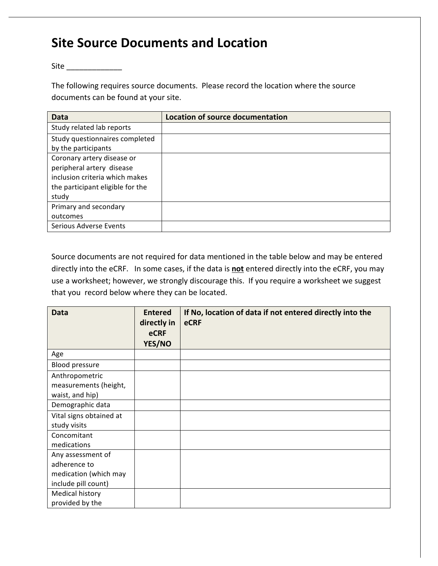## **Site Source Documents and Location**

 $Site$ 

The following requires source documents. Please record the location where the source documents can be found at your site.

| Data                             | Location of source documentation |
|----------------------------------|----------------------------------|
| Study related lab reports        |                                  |
| Study questionnaires completed   |                                  |
| by the participants              |                                  |
| Coronary artery disease or       |                                  |
| peripheral artery disease        |                                  |
| inclusion criteria which makes   |                                  |
| the participant eligible for the |                                  |
| study                            |                                  |
| Primary and secondary            |                                  |
| outcomes                         |                                  |
| Serious Adverse Events           |                                  |

Source documents are not required for data mentioned in the table below and may be entered directly into the eCRF. In some cases, if the data is **not** entered directly into the eCRF, you may use a worksheet; however, we strongly discourage this. If you require a worksheet we suggest that you record below where they can be located.

| <b>Data</b>             | <b>Entered</b><br>directly in<br><b>eCRF</b> | If No, location of data if not entered directly into the<br><b>eCRF</b> |
|-------------------------|----------------------------------------------|-------------------------------------------------------------------------|
|                         | YES/NO                                       |                                                                         |
| Age                     |                                              |                                                                         |
| Blood pressure          |                                              |                                                                         |
| Anthropometric          |                                              |                                                                         |
| measurements (height,   |                                              |                                                                         |
| waist, and hip)         |                                              |                                                                         |
| Demographic data        |                                              |                                                                         |
| Vital signs obtained at |                                              |                                                                         |
| study visits            |                                              |                                                                         |
| Concomitant             |                                              |                                                                         |
| medications             |                                              |                                                                         |
| Any assessment of       |                                              |                                                                         |
| adherence to            |                                              |                                                                         |
| medication (which may   |                                              |                                                                         |
| include pill count)     |                                              |                                                                         |
| Medical history         |                                              |                                                                         |
| provided by the         |                                              |                                                                         |